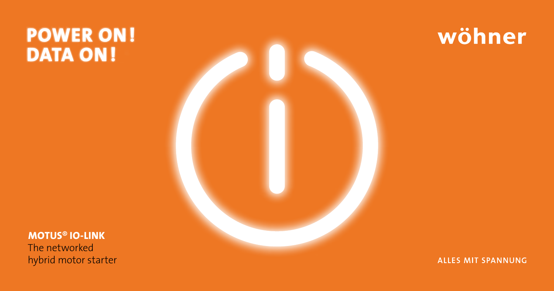# **POWER ON! DATA ON!**



wöhner

**MOTUS® IO-LINK**

The networked hybrid motor starter

**ALLES MIT SPANNUNG**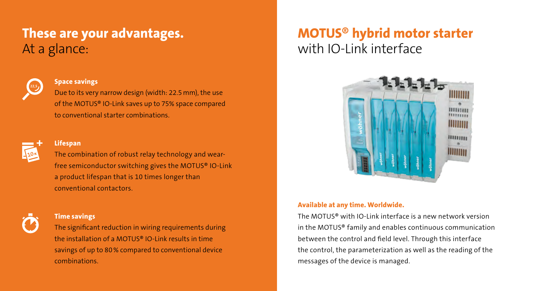# **These are your advantages.** At a glance:



#### **Space savings**

Due to its very narrow design (width: 22.5mm), the use of the MOTUS® IO-Link saves up to 75% space compared to conventional starter combinations.



#### **Lifespan**

The combination of robust relay technology and wearfree semiconductor switching gives the MOTUS® IO-Link a product lifespan that is 10 times longer than conventional contactors.



#### **Time savings**

The significant reduction in wiring requirements during the installation of a MOTUS® IO-Link results in time savings of up to 80% compared to conventional device combinations.

## **MOTUS® hybrid motor starter**  with IO-Link interface



#### **Available at any time. Worldwide.**

The MOTUS® with IO-Link interface is a new network version in the MOTUS® family and enables continuous communication between the control and field level. Through this interface the control, the parameterization as well as the reading of the messages of the device is managed.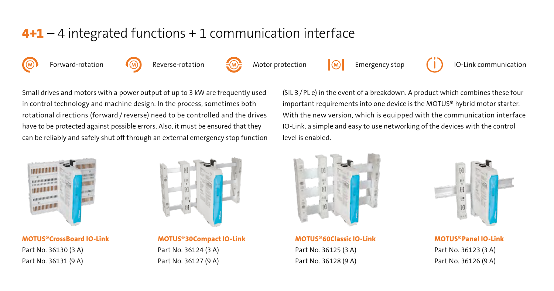## **4+1** – 4 integrated functions + 1 communication interface

Forward-rotation  $\overline{(\mathbb{M})}$  Reverse-rotation  $\overline{(\mathbb{M})}$  Motor protection  $\overline{(\mathbb{M})}$  Emergency stop

IO-Link communication

Small drives and motors with a power output of up to 3 kW are frequently used in control technology and machine design. In the process, sometimes both rotational directions (forward / reverse) need to be controlled and the drives have to be protected against possible errors. Also, it must be ensured that they can be reliably and safely shut off through an external emergency stop function (SIL 3/PL e) in the event of a breakdown. A product which combines these four important requirements into one device is the MOTUS® hybrid motor starter. With the new version, which is equipped with the communication interface IO-Link, a simple and easy to use networking of the devices with the control level is enabled.



**MOTUS®CrossBoard IO-Link**  Part No. 36130 (3 A) Part No. 36131 (9 A)



**MOTUS®30Compact IO-Link** Part No. 36124 (3 A) Part No. 36127 (9 A)



**MOTUS®60Classic IO-Link** Part No. 36125 (3 A) Part No. 36128 (9 A)



**MOTUS®Panel IO-Link** Part No. 36123 (3 A) Part No. 36126 (9 A)